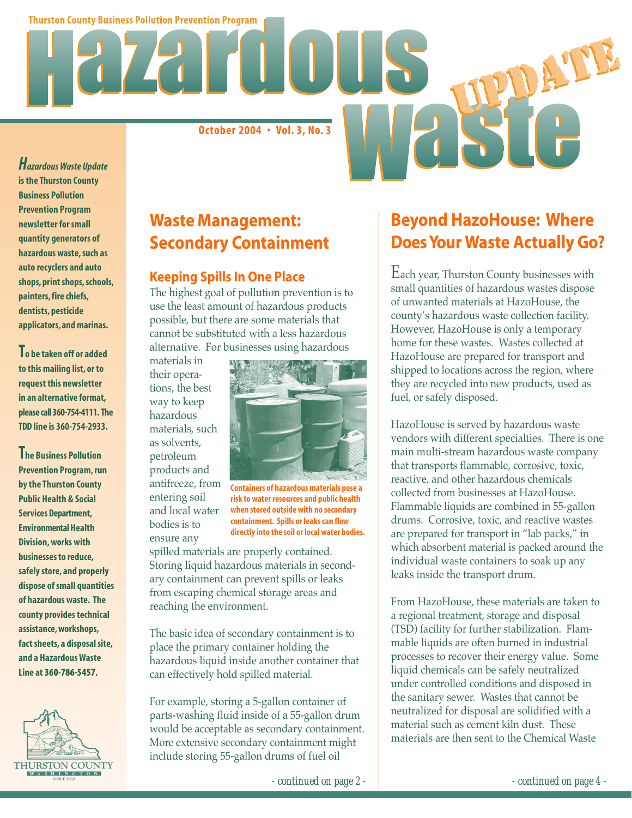**Thurston County Business Pollution Prevention Program** 

**October 2004 • Vol. 3, No. 3**

*Hazardous Waste Update* **is the Thurston County Business Pollution Prevention Program newsletter for small quantity generators of hazardous waste, such as auto recyclers and auto shops, print shops, schools, painters, fire chiefs, dentists, pesticide applicators, and marinas.**

**To be taken off or added to this mailing list, or to request this newsletter in an alternative format, please call 360-754-4111. The TDD line is 360-754-2933.**

**The Business Pollution Prevention Program, run by the Thurston County Public Health & Social Services Department, Environmental Health Division, works with businesses to reduce, safely store, and properly dispose of small quantities of hazardous waste. The county provides technical assistance, workshops, fact sheets, a disposal site, and a Hazardous Waste Line at 360-786-5457.**



## **Waste Management: Secondary Containment**

#### **Keeping Spills In One Place**

The highest goal of pollution prevention is to use the least amount of hazardous products possible, but there are some materials that cannot be substituted with a less hazardous alternative. For businesses using hazardous

materials in their operations, the best way to keep hazardous materials, such as solvents, petroleum products and antifreeze, from entering soil and local water bodies is to

ensure any



**Containers of hazardous materials pose a risk to water resources and public health when stored outside with no secondary containment. Spills or leaks can flow directly into the soil or local water bodies.**

spilled materials are properly contained. Storing liquid hazardous materials in secondary containment can prevent spills or leaks from escaping chemical storage areas and reaching the environment.

The basic idea of secondary containment is to place the primary container holding the hazardous liquid inside another container that can effectively hold spilled material.

For example, storing a 5-gallon container of parts-washing fluid inside of a 55-gallon drum would be acceptable as secondary containment. More extensive secondary containment might include storing 55-gallon drums of fuel oil

# **Beyond HazoHouse: Where Does Your Waste Actually Go?**

Each year, Thurston County businesses with small quantities of hazardous wastes dispose of unwanted materials at HazoHouse, the county's hazardous waste collection facility. However, HazoHouse is only a temporary home for these wastes. Wastes collected at HazoHouse are prepared for transport and shipped to locations across the region, where they are recycled into new products, used as fuel, or safely disposed.

HazoHouse is served by hazardous waste vendors with different specialties. There is one main multi-stream hazardous waste company that transports flammable, corrosive, toxic, reactive, and other hazardous chemicals collected from businesses at HazoHouse. Flammable liquids are combined in 55-gallon drums. Corrosive, toxic, and reactive wastes are prepared for transport in "lab packs," in which absorbent material is packed around the individual waste containers to soak up any leaks inside the transport drum.

From HazoHouse, these materials are taken to a regional treatment, storage and disposal (TSD) facility for further stabilization. Flammable liquids are often burned in industrial processes to recover their energy value. Some liquid chemicals can be safely neutralized under controlled conditions and disposed in the sanitary sewer. Wastes that cannot be neutralized for disposal are solidified with a material such as cement kiln dust. These materials are then sent to the Chemical Waste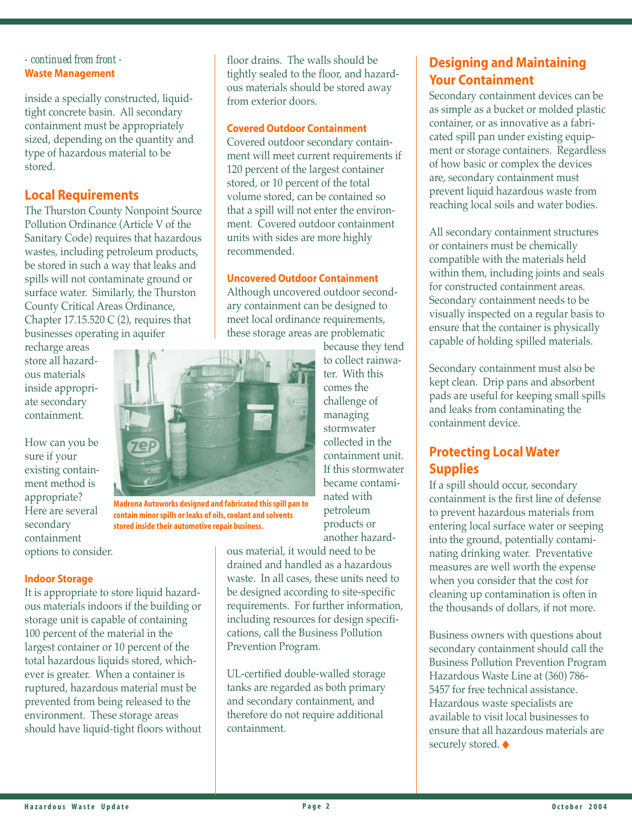#### *- continued from front -* **Waste Management**

inside a specially constructed, liquidtight concrete basin. All secondary containment must be appropriately sized, depending on the quantity and type of hazardous material to be stored.

## **Local Requirements**

The Thurston County Nonpoint Source Pollution Ordinance (Article V of the Sanitary Code) requires that hazardous wastes, including petroleum products, be stored in such a way that leaks and spills will not contaminate ground or surface water. Similarly, the Thurston County Critical Areas Ordinance, Chapter 17.15.520 C  $(2)$ , requires that businesses operating in aquifer

recharge areas store all hazardous materials inside appropriate secondary containment.

How can you be sure if your existing containment method is appropriate? Here are several secondary containment options to consider.

#### **Indoor Storage**

It is appropriate to store liquid hazardous materials indoors if the building or storage unit is capable of containing 100 percent of the material in the largest container or 10 percent of the total hazardous liquids stored, whichever is greater. When a container is ruptured, hazardous material must be prevented from being released to the environment. These storage areas should have liquid-tight floors without floor drains. The walls should be tightly sealed to the floor, and hazardous materials should be stored away from exterior doors.

#### **Covered Outdoor Containment**

Covered outdoor secondary containment will meet current requirements if 120 percent of the largest container stored, or 10 percent of the total volume stored, can be contained so that a spill will not enter the environment. Covered outdoor containment units with sides are more highly recommended.

#### **Uncovered Outdoor Containment**

Although uncovered outdoor secondary containment can be designed to meet local ordinance requirements, these storage areas are problematic

> because they tend to collect rainwater. With this comes the challenge of managing stormwater collected in the containment unit. If this stormwater became contaminated with petroleum products or another hazard-

ous material, it would need to be drained and handled as a hazardous waste. In all cases, these units need to be designed according to site-specific requirements. For further information, including resources for design specifications, call the Business Pollution Prevention Program.

UL-certified double-walled storage tanks are regarded as both primary and secondary containment, and therefore do not require additional containment.

## **Designing and Maintaining Your Containment**

Secondary containment devices can be as simple as a bucket or molded plastic container, or as innovative as a fabricated spill pan under existing equipment or storage containers. Regardless of how basic or complex the devices are, secondary containment must prevent liquid hazardous waste from reaching local soils and water bodies.

All secondary containment structures or containers must be chemically compatible with the materials held within them, including joints and seals for constructed containment areas. Secondary containment needs to be visually inspected on a regular basis to ensure that the container is physically capable of holding spilled materials.

Secondary containment must also be kept clean. Drip pans and absorbent pads are useful for keeping small spills and leaks from contaminating the containment device.

## **Protecting Local Water Supplies**

If a spill should occur, secondary containment is the first line of defense to prevent hazardous materials from entering local surface water or seeping into the ground, potentially contaminating drinking water. Preventative measures are well worth the expense when you consider that the cost for cleaning up contamination is often in the thousands of dollars, if not more.

Business owners with questions about secondary containment should call the Business Pollution Prevention Program Hazardous Waste Line at (360) 786- 5457 for free technical assistance. Hazardous waste specialists are available to visit local businesses to ensure that all hazardous materials are securely stored. ♦





**Madrona Autoworks designed and fabricated this spill pan to contain minor spills or leaks of oils, coolant and solvents stored inside their automotive repair business.**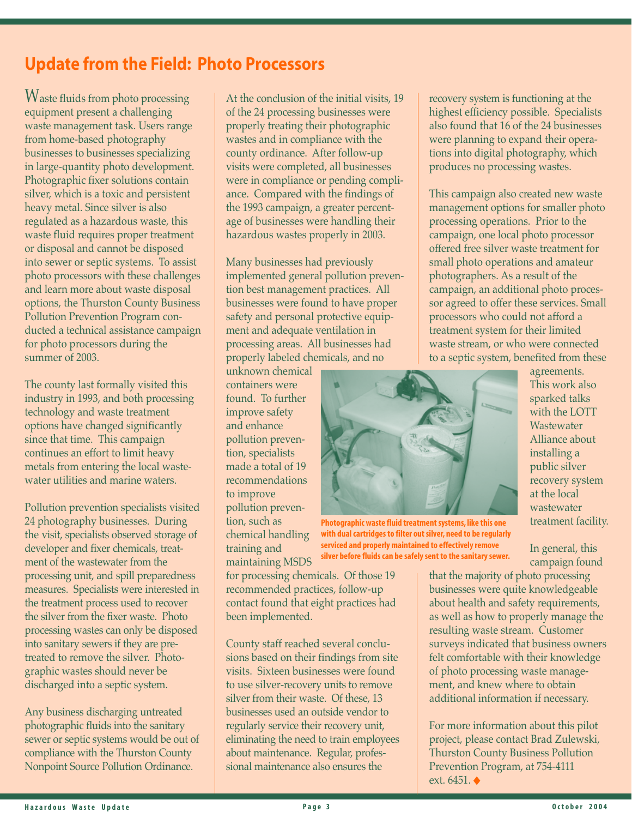# **Update from the Field: Photo Processors**

Waste fluids from photo processing equipment present a challenging waste management task. Users range from home-based photography businesses to businesses specializing in large-quantity photo development. Photographic fixer solutions contain silver, which is a toxic and persistent heavy metal. Since silver is also regulated as a hazardous waste, this waste fluid requires proper treatment or disposal and cannot be disposed into sewer or septic systems. To assist photo processors with these challenges and learn more about waste disposal options, the Thurston County Business Pollution Prevention Program conducted a technical assistance campaign for photo processors during the summer of 2003.

The county last formally visited this industry in 1993, and both processing technology and waste treatment options have changed significantly since that time. This campaign continues an effort to limit heavy metals from entering the local wastewater utilities and marine waters.

Pollution prevention specialists visited 24 photography businesses. During the visit, specialists observed storage of developer and fixer chemicals, treatment of the wastewater from the processing unit, and spill preparedness measures. Specialists were interested in the treatment process used to recover the silver from the fixer waste. Photo processing wastes can only be disposed into sanitary sewers if they are pretreated to remove the silver. Photographic wastes should never be discharged into a septic system.

Any business discharging untreated photographic fluids into the sanitary sewer or septic systems would be out of compliance with the Thurston County Nonpoint Source Pollution Ordinance.

At the conclusion of the initial visits, 19 of the 24 processing businesses were properly treating their photographic wastes and in compliance with the county ordinance. After follow-up visits were completed, all businesses were in compliance or pending compliance. Compared with the findings of the 1993 campaign, a greater percentage of businesses were handling their hazardous wastes properly in 2003.

Many businesses had previously implemented general pollution prevention best management practices. All businesses were found to have proper safety and personal protective equipment and adequate ventilation in processing areas. All businesses had properly labeled chemicals, and no

unknown chemical containers were found. To further improve safety and enhance pollution prevention, specialists made a total of 19 recommendations to improve pollution prevention, such as chemical handling training and maintaining MSDS

**Photographic waste fluid treatment systems, like this one with dual cartridges to filter out silver, need to be regularly serviced and properly maintained to effectively remove silver before fluids can be safely sent to the sanitary sewer.**

recovery system is functioning at the highest efficiency possible. Specialists also found that 16 of the 24 businesses were planning to expand their operations into digital photography, which produces no processing wastes.

This campaign also created new waste management options for smaller photo processing operations. Prior to the campaign, one local photo processor offered free silver waste treatment for small photo operations and amateur photographers. As a result of the campaign, an additional photo processor agreed to offer these services. Small processors who could not afford a treatment system for their limited waste stream, or who were connected to a septic system, benefited from these

> agreements. This work also sparked talks with the LOTT **Wastewater** Alliance about installing a public silver recovery system at the local wastewater treatment facility.

In general, this campaign found that the majority of photo processing

businesses were quite knowledgeable about health and safety requirements, as well as how to properly manage the resulting waste stream. Customer surveys indicated that business owners felt comfortable with their knowledge of photo processing waste management, and knew where to obtain additional information if necessary.

For more information about this pilot project, please contact Brad Zulewski, Thurston County Business Pollution Prevention Program, at 754-4111 ext. 6451. ◆

for processing chemicals. Of those 19 recommended practices, follow-up contact found that eight practices had been implemented.

County staff reached several conclusions based on their findings from site visits. Sixteen businesses were found to use silver-recovery units to remove silver from their waste. Of these, 13 businesses used an outside vendor to regularly service their recovery unit, eliminating the need to train employees about maintenance. Regular, professional maintenance also ensures the

Hazardous Waste Update **a construction of the Construction of P** age 3 **Construction of the Construction of the Construction of the P** age 3 **O** ctober 2004